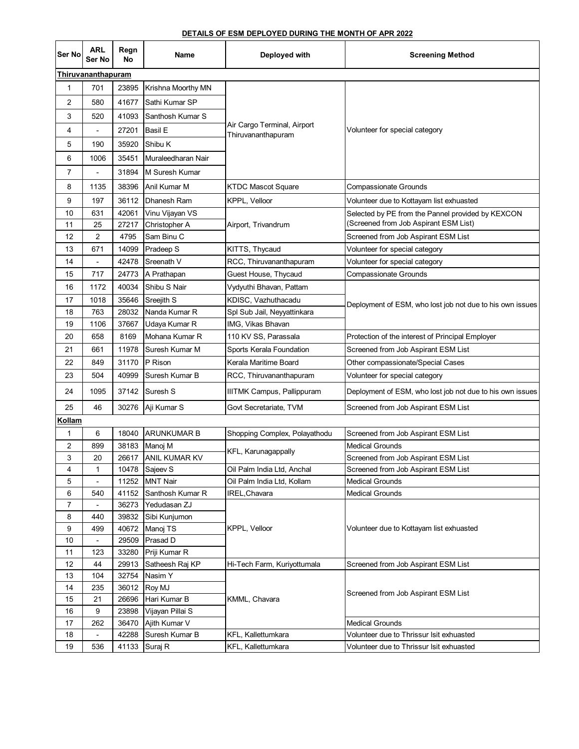## **DETAILS OF ESM DEPLOYED DURING THE MONTH OF APR 2022**

| Ser No        | <b>ARL</b><br>Ser No     | Regn<br>No     | Name                             | Deployed with                                     | <b>Screening Method</b>                                                                    |
|---------------|--------------------------|----------------|----------------------------------|---------------------------------------------------|--------------------------------------------------------------------------------------------|
|               | Thiruvananthapuram       |                |                                  |                                                   |                                                                                            |
| 1             | 701                      | 23895          | Krishna Moorthy MN               | Air Cargo Terminal, Airport<br>Thiruvananthapuram | Volunteer for special category                                                             |
| 2             | 580                      | 41677          | Sathi Kumar SP                   |                                                   |                                                                                            |
| 3             | 520                      | 41093          | Santhosh Kumar S                 |                                                   |                                                                                            |
| 4             |                          | 27201          | Basil E                          |                                                   |                                                                                            |
| 5             | 190                      | 35920          | Shibu K                          |                                                   |                                                                                            |
| 6             | 1006                     | 35451          | Muraleedharan Nair               |                                                   |                                                                                            |
| 7             |                          | 31894          | M Suresh Kumar                   |                                                   |                                                                                            |
| 8             | 1135                     | 38396          | Anil Kumar M                     | <b>KTDC Mascot Square</b>                         | <b>Compassionate Grounds</b>                                                               |
| 9             | 197                      | 36112          | Dhanesh Ram                      | KPPL, Velloor                                     | Volunteer due to Kottayam list exhuasted                                                   |
|               |                          |                |                                  |                                                   |                                                                                            |
| 10<br>11      | 631<br>25                | 42061<br>27217 | Vinu Vijayan VS<br>Christopher A |                                                   | Selected by PE from the Pannel provided by KEXCON<br>(Screened from Job Aspirant ESM List) |
| 12            | 2                        | 4795           | Sam Binu C                       | Airport, Trivandrum                               | Screened from Job Aspirant ESM List                                                        |
| 13            | 671                      | 14099          | Pradeep S                        | KITTS, Thycaud                                    | Volunteer for special category                                                             |
| 14            |                          | 42478          | Sreenath V                       | RCC, Thiruvananthapuram                           |                                                                                            |
|               | $\overline{\phantom{a}}$ | 24773          | A Prathapan                      | Guest House, Thycaud                              | Volunteer for special category                                                             |
| 15            | 717                      |                |                                  |                                                   | <b>Compassionate Grounds</b>                                                               |
| 16            | 1172                     | 40034          | Shibu S Nair                     | Vydyuthi Bhavan, Pattam                           |                                                                                            |
| 17            | 1018                     | 35646          | Sreejith S                       | KDISC, Vazhuthacadu                               | Deployment of ESM, who lost job not due to his own issues                                  |
| 18            | 763                      | 28032<br>37667 | Nanda Kumar R                    | Spl Sub Jail, Neyyattinkara                       |                                                                                            |
| 19            | 1106                     |                | Udaya Kumar R                    | IMG, Vikas Bhavan                                 |                                                                                            |
| 20            | 658                      | 8169           | Mohana Kumar R                   | 110 KV SS, Parassala                              | Protection of the interest of Principal Employer                                           |
| 21            | 661                      | 11978          | Suresh Kumar M                   | Sports Kerala Foundation                          | Screened from Job Aspirant ESM List                                                        |
| 22            | 849                      | 31170          | P Rison                          | Kerala Maritime Board                             | Other compassionate/Special Cases                                                          |
| 23            | 504                      | 40999          | Suresh Kumar B                   | RCC, Thiruvananthapuram                           | Volunteer for special category                                                             |
| 24            | 1095                     | 37142          | Suresh S                         | <b>IIITMK Campus, Pallippuram</b>                 | Deployment of ESM, who lost job not due to his own issues                                  |
| 25            | 46                       | 30276          | Aji Kumar S                      | Govt Secretariate, TVM                            | Screened from Job Aspirant ESM List                                                        |
| <u>Kollam</u> |                          |                |                                  |                                                   |                                                                                            |
| 1             | 6                        | 18040          | <b>ARUNKUMAR B</b>               | Shopping Complex, Polayathodu                     | Screened from Job Aspirant ESM List                                                        |
| 2             | 899                      | 38183          | Manoj M                          |                                                   | <b>Medical Grounds</b>                                                                     |
| 3             | 20                       | 26617          | <b>ANIL KUMAR KV</b>             | KFL, Karunagappally                               | Screened from Job Aspirant ESM List                                                        |
| 4             |                          | 10478          | Sajeev S                         | Oil Palm India Ltd, Anchal                        | Screened from Job Aspirant ESM List                                                        |
| 5             |                          | 11252          | <b>MNT Nair</b>                  | Oil Palm India Ltd, Kollam                        | <b>Medical Grounds</b>                                                                     |
| 6             | 540                      | 41152          | Santhosh Kumar R                 | IREL,Chavara                                      | <b>Medical Grounds</b>                                                                     |
| 7             | $\overline{\phantom{a}}$ | 36273          | Yedudasan ZJ                     | KPPL, Velloor                                     | Volunteer due to Kottayam list exhuasted                                                   |
| 8             | 440                      | 39832          | Sibi Kunjumon                    |                                                   |                                                                                            |
| 9             | 499                      | 40672          | Manoj TS                         |                                                   |                                                                                            |
| 10            |                          | 29509          | Prasad D                         |                                                   |                                                                                            |
| 11            | 123                      | 33280          | Priji Kumar R                    |                                                   |                                                                                            |
| 12            | 44                       | 29913          | Satheesh Raj KP                  | Hi-Tech Farm, Kuriyottumala                       | Screened from Job Aspirant ESM List                                                        |
| 13            | 104                      | 32754          | Nasim Y                          | KMML, Chavara                                     |                                                                                            |
| 14            | 235                      | 36012          | Roy MJ                           |                                                   | Screened from Job Aspirant ESM List                                                        |
| 15            | 21                       | 26696          | Hari Kumar B                     |                                                   |                                                                                            |
| 16            | 9                        | 23898          | Vijayan Pillai S                 |                                                   |                                                                                            |
| 17            | 262                      | 36470          | Ajith Kumar V                    |                                                   | <b>Medical Grounds</b>                                                                     |
| 18            |                          | 42288          | Suresh Kumar B                   | KFL, Kallettumkara                                | Volunteer due to Thrissur Isit exhuasted                                                   |
| 19            | 536                      | 41133          | Suraj R                          | KFL, Kallettumkara                                | Volunteer due to Thrissur Isit exhuasted                                                   |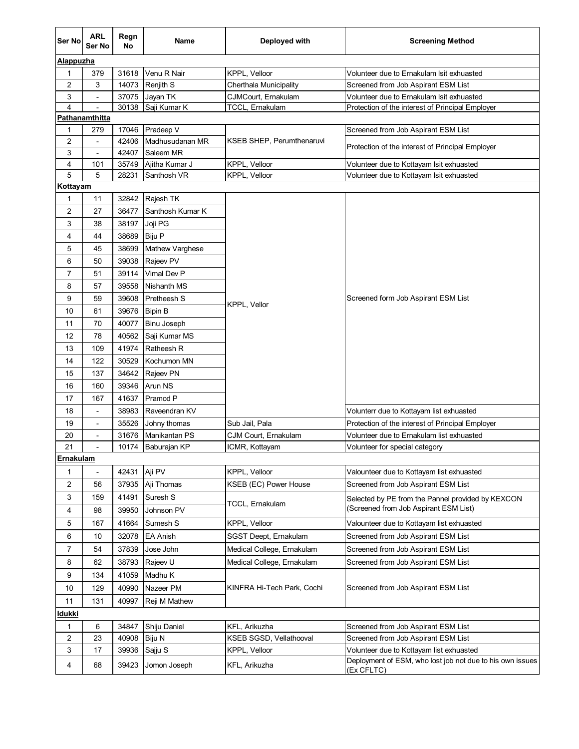| Ser No              | <b>ARL</b><br>Ser No     | Regn<br>No     | Name                         | Deployed with              | <b>Screening Method</b>                                                                 |  |  |
|---------------------|--------------------------|----------------|------------------------------|----------------------------|-----------------------------------------------------------------------------------------|--|--|
|                     | Alappuzha                |                |                              |                            |                                                                                         |  |  |
| 1                   | 379                      | 31618          | Venu R Nair                  | KPPL, Velloor              | Volunteer due to Ernakulam Isit exhuasted                                               |  |  |
| $\overline{2}$      | 3                        | 14073          | Renjith S                    | Cherthala Municipality     | Screened from Job Aspirant ESM List                                                     |  |  |
| 3                   |                          | 37075          | Jayan TK                     | CJMCourt, Ernakulam        | Volunteer due to Ernakulam Isit exhuasted                                               |  |  |
| $\overline{4}$      | $\overline{\phantom{a}}$ | 30138          | Saji Kumar K                 | TCCL, Ernakulam            | Protection of the interest of Principal Employer                                        |  |  |
|                     | Pathanamthitta           |                |                              |                            |                                                                                         |  |  |
| 1                   | 279                      | 17046          | Pradeep V                    |                            | Screened from Job Aspirant ESM List<br>Protection of the interest of Principal Employer |  |  |
| $\overline{2}$<br>3 |                          | 42406<br>42407 | Madhusudanan MR<br>Saleem MR | KSEB SHEP, Perumthenaruvi  |                                                                                         |  |  |
| 4                   | 101                      | 35749          | Ajitha Kumar J               | KPPL, Velloor              | Volunteer due to Kottayam Isit exhuasted                                                |  |  |
| 5                   | 5                        | 28231          | Santhosh VR                  | KPPL, Velloor              | Volunteer due to Kottayam Isit exhuasted                                                |  |  |
| Kottayam            |                          |                |                              |                            |                                                                                         |  |  |
| 1                   | 11                       | 32842          | Rajesh TK                    |                            |                                                                                         |  |  |
| $\overline{2}$      | 27                       | 36477          | Santhosh Kumar K             |                            |                                                                                         |  |  |
| 3                   | 38                       | 38197          | Joji PG                      |                            |                                                                                         |  |  |
| 4                   | 44                       | 38689          | <b>Biju P</b>                |                            |                                                                                         |  |  |
| 5                   | 45                       | 38699          | <b>Mathew Varghese</b>       |                            |                                                                                         |  |  |
| 6                   | 50                       | 39038          | Rajeev PV                    |                            |                                                                                         |  |  |
| $\overline{7}$      | 51                       | 39114          | Vimal Dev P                  |                            |                                                                                         |  |  |
| 8                   | 57                       | 39558          | Nishanth MS                  |                            |                                                                                         |  |  |
| 9                   | 59                       | 39608          | Pretheesh S                  |                            | Screened form Job Aspirant ESM List                                                     |  |  |
| 10                  | 61                       | 39676          | <b>Bipin B</b>               | KPPL, Vellor               |                                                                                         |  |  |
| 11                  | 70                       | 40077          | Binu Joseph                  |                            |                                                                                         |  |  |
| 12                  | 78                       | 40562          | Saji Kumar MS                |                            |                                                                                         |  |  |
|                     | 109                      | 41974          | Ratheesh R                   |                            |                                                                                         |  |  |
| 13                  |                          |                |                              |                            |                                                                                         |  |  |
| 14                  | 122                      | 30529<br>34642 | Kochumon MN                  |                            |                                                                                         |  |  |
| 15                  | 137                      |                | Rajeev PN                    |                            |                                                                                         |  |  |
| 16                  | 160                      | 39346          | Arun NS                      |                            |                                                                                         |  |  |
| 17                  | 167                      | 41637          | Pramod P                     |                            |                                                                                         |  |  |
| 18                  | $\overline{a}$           | 38983          | Raveendran KV                |                            | Volunterr due to Kottayam list exhuasted                                                |  |  |
| 19                  | $\overline{\phantom{a}}$ | 35526          | Johny thomas                 | Sub Jail, Pala             | Protection of the interest of Principal Employer                                        |  |  |
| 20                  | $\overline{\phantom{a}}$ | 31676          | Manikantan PS                | CJM Court, Ernakulam       | Volunteer due to Ernakulam list exhuasted                                               |  |  |
| 21<br>Ernakulam     |                          | 10174          | Baburajan KP                 | ICMR, Kottayam             | Volunteer for special category                                                          |  |  |
|                     |                          |                |                              |                            |                                                                                         |  |  |
| 1                   |                          | 42431          | Aji PV                       | KPPL, Velloor              | Valounteer due to Kottayam list exhuasted                                               |  |  |
| $\overline{c}$      | 56                       | 37935          | Aji Thomas                   | KSEB (EC) Power House      | Screened from Job Aspirant ESM List                                                     |  |  |
| 3                   | 159                      | 41491          | Suresh S                     | TCCL, Ernakulam            | Selected by PE from the Pannel provided by KEXCON                                       |  |  |
| 4                   | 98                       | 39950          | Johnson PV                   |                            | (Screened from Job Aspirant ESM List)                                                   |  |  |
| 5                   | 167                      | 41664          | Sumesh S                     | KPPL, Velloor              | Valounteer due to Kottayam list exhuasted                                               |  |  |
| 6                   | 10                       | 32078          | <b>EA Anish</b>              | SGST Deept, Ernakulam      | Screened from Job Aspirant ESM List                                                     |  |  |
| $\overline{7}$      | 54                       | 37839          | Jose John                    | Medical College, Ernakulam | Screened from Job Aspirant ESM List                                                     |  |  |
| 8                   | 62                       | 38793          | Rajeev U                     | Medical College, Ernakulam | Screened from Job Aspirant ESM List                                                     |  |  |
| 9                   | 134                      | 41059          | Madhu K                      |                            | Screened from Job Aspirant ESM List                                                     |  |  |
| 10                  | 129                      | 40990          | Nazeer PM                    | KINFRA Hi-Tech Park, Cochi |                                                                                         |  |  |
| 11                  | 131                      | 40997          | Reji M Mathew                |                            |                                                                                         |  |  |
| ldukki              |                          |                |                              |                            |                                                                                         |  |  |
| 1                   | 6                        | 34847          | Shiju Daniel                 | KFL, Arikuzha              | Screened from Job Aspirant ESM List                                                     |  |  |
| $\overline{c}$      | 23                       | 40908          | Biju N                       | KSEB SGSD, Vellathooval    | Screened from Job Aspirant ESM List                                                     |  |  |
| 3                   | 17                       | 39936          | Sajju S                      | KPPL, Velloor              | Volunteer due to Kottayam list exhuasted                                                |  |  |
| 4                   | 68                       | 39423          | Jomon Joseph                 | KFL, Arikuzha              | Deployment of ESM, who lost job not due to his own issues                               |  |  |
|                     |                          |                |                              |                            | (Ex CFLTC)                                                                              |  |  |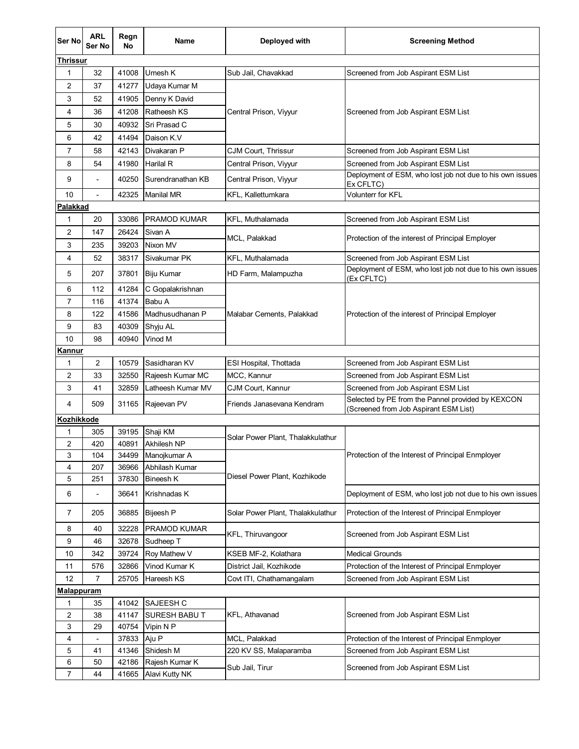| Ser No            | <b>ARL</b><br>Ser No     | Regn<br><b>No</b> | Name                | Deployed with                     | <b>Screening Method</b>                                                                    |  |  |
|-------------------|--------------------------|-------------------|---------------------|-----------------------------------|--------------------------------------------------------------------------------------------|--|--|
| Thrissur          |                          |                   |                     |                                   |                                                                                            |  |  |
| $\mathbf{1}$      | 32                       | 41008             | Umesh K             | Sub Jail, Chavakkad               | Screened from Job Aspirant ESM List                                                        |  |  |
| 2                 | 37                       | 41277             | Udaya Kumar M       |                                   |                                                                                            |  |  |
| 3                 | 52                       | 41905             | Denny K David       |                                   |                                                                                            |  |  |
| 4                 | 36                       | 41208             | Ratheesh KS         | Central Prison, Viyyur            | Screened from Job Aspirant ESM List                                                        |  |  |
| 5                 | 30                       | 40932             | Sri Prasad C        |                                   |                                                                                            |  |  |
| 6                 | 42                       | 41494             | Daison K.V          |                                   |                                                                                            |  |  |
| 7                 | 58                       | 42143             | Divakaran P         | CJM Court, Thrissur               | Screened from Job Aspirant ESM List                                                        |  |  |
| 8                 | 54                       | 41980             | Harilal R           | Central Prison, Viyyur            | Screened from Job Aspirant ESM List                                                        |  |  |
| 9                 | $\overline{a}$           | 40250             | Surendranathan KB   | Central Prison, Viyyur            | Deployment of ESM, who lost job not due to his own issues<br>Ex CFLTC)                     |  |  |
| 10                | $\overline{\phantom{a}}$ | 42325             | <b>Manilal MR</b>   | KFL, Kallettumkara                | Volunterr for KFL                                                                          |  |  |
| Palakkad          |                          |                   |                     |                                   |                                                                                            |  |  |
| $\mathbf{1}$      | 20                       | 33086             | <b>PRAMOD KUMAR</b> | KFL, Muthalamada                  | Screened from Job Aspirant ESM List                                                        |  |  |
| 2                 | 147                      | 26424             | Sivan A             |                                   |                                                                                            |  |  |
| 3                 | 235                      | 39203             | Nixon MV            | MCL, Palakkad                     | Protection of the interest of Principal Employer                                           |  |  |
| 4                 | 52                       | 38317             | Sivakumar PK        | KFL, Muthalamada                  | Screened from Job Aspirant ESM List                                                        |  |  |
| 5                 | 207                      | 37801             | <b>Biju Kumar</b>   | HD Farm, Malampuzha               | Deployment of ESM, who lost job not due to his own issues<br>(Ex CFLTC)                    |  |  |
| 6                 | 112                      | 41284             | C Gopalakrishnan    |                                   |                                                                                            |  |  |
| 7                 | 116                      | 41374             | Babu A              |                                   | Protection of the interest of Principal Employer                                           |  |  |
| 8                 | 122                      | 41586             | Madhusudhanan P     | Malabar Cements, Palakkad         |                                                                                            |  |  |
| 9                 | 83                       | 40309             | Shyju AL            |                                   |                                                                                            |  |  |
| 10                | 98                       | 40940             | Vinod M             |                                   |                                                                                            |  |  |
| Kannur            |                          |                   |                     |                                   |                                                                                            |  |  |
| 1                 | $\overline{2}$           | 10579             | Sasidharan KV       | ESI Hospital, Thottada            | Screened from Job Aspirant ESM List                                                        |  |  |
| 2                 | 33                       | 32550             | Rajeesh Kumar MC    | MCC, Kannur                       | Screened from Job Aspirant ESM List                                                        |  |  |
| 3                 | 41                       | 32859             | Latheesh Kumar MV   | CJM Court, Kannur                 | Screened from Job Aspirant ESM List                                                        |  |  |
| 4                 | 509                      | 31165             | Rajeevan PV         | Friends Janasevana Kendram        | Selected by PE from the Pannel provided by KEXCON<br>(Screened from Job Aspirant ESM List) |  |  |
|                   | Kozhikkode               |                   |                     |                                   |                                                                                            |  |  |
| 1                 | 305                      | 39195             | Shaji KM            | Solar Power Plant, Thalakkulathur | Protection of the Interest of Principal Enmployer                                          |  |  |
| 2                 | 420                      | 40891             | <b>Akhilesh NP</b>  |                                   |                                                                                            |  |  |
| 3                 | 104                      | 34499             | Manojkumar A        |                                   |                                                                                            |  |  |
| 4                 | 207                      | 36966             | Abhilash Kumar      | Diesel Power Plant, Kozhikode     |                                                                                            |  |  |
| 5                 | 251                      | 37830             | Bineesh K           |                                   |                                                                                            |  |  |
| 6                 | -                        | 36641             | Krishnadas K        |                                   | Deployment of ESM, who lost job not due to his own issues                                  |  |  |
| 7                 | 205                      | 36885             | <b>Bijeesh P</b>    | Solar Power Plant, Thalakkulathur | Protection of the Interest of Principal Enmployer                                          |  |  |
| 8                 | 40                       | 32228             | PRAMOD KUMAR        | KFL, Thiruvangoor                 | Screened from Job Aspirant ESM List                                                        |  |  |
| 9                 | 46                       | 32678             | Sudheep T           |                                   |                                                                                            |  |  |
| 10                | 342                      | 39724             | Roy Mathew V        | KSEB MF-2, Kolathara              | <b>Medical Grounds</b>                                                                     |  |  |
| 11                | 576                      | 32866             | Vinod Kumar K       | District Jail, Kozhikode          | Protection of the Interest of Principal Enmployer                                          |  |  |
| 12                | $\overline{7}$           | 25705             | Hareesh KS          | Covt ITI, Chathamangalam          | Screened from Job Aspirant ESM List                                                        |  |  |
| <u>Malappuram</u> |                          |                   |                     |                                   |                                                                                            |  |  |
| 1                 | 35                       | 41042             | SAJEESH C           | KFL, Athavanad                    | Screened from Job Aspirant ESM List                                                        |  |  |
| 2                 | 38                       | 41147             | SURESH BABU T       |                                   |                                                                                            |  |  |
| 3                 | 29                       | 40754             | Vipin N P           |                                   |                                                                                            |  |  |
| 4                 | $\overline{a}$           | 37833             | Aju P               | MCL, Palakkad                     | Protection of the Interest of Principal Enmployer                                          |  |  |
| 5                 | 41                       | 41346             | Shidesh M           | 220 KV SS, Malaparamba            | Screened from Job Aspirant ESM List                                                        |  |  |
| 6                 | 50                       | 42186             | Rajesh Kumar K      | Sub Jail, Tirur                   | Screened from Job Aspirant ESM List                                                        |  |  |
| $\overline{7}$    | 44                       | 41665             | Alavi Kutty NK      |                                   |                                                                                            |  |  |